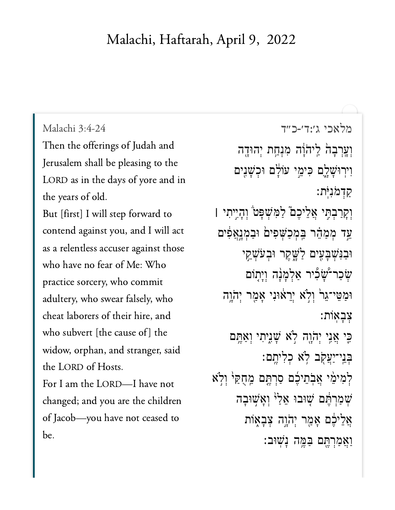## Malachi, Haftarah, April 9, 2022

## Malachi 3:4-24

Then the offerings of Judah and Jerusalem shall be pleasing to the LORD as in the days of yore and in the years of old.

But [first] I will step forward to contend against you, and I will act as a relentless accuser against those who have no fear of Me: Who practice sorcery, who commit adultery, who swear falsely, who cheat laborers of their hire, and who subvert [the cause of] the widow, orphan, and stranger, said the LORD of Hosts. For I am the LORD-I have not changed; and you are the children of Jacob-you have not ceased to be.

[מלאכי ג׳:ד׳-כ״ד](https://www.sefaria.org/Malachi%203:4-24) 3:4-24 Malachi וְעֲרְבָהׂ לַיהֹוָּה מִנְחַת יְהוּדֶה וִירְוּשָׁלֶם כִּימֵי עוֹלָם וּכִשָּׁנִים ַק ְד ֹמ ִנ ֹּֽית׃ וְקַרַבְתְּי אֲלֵיכֶם*ٌ לַמְּשִׁ*פָּט*ٌ* וְהָיֶיִתִי | ַעֵּד מְמַהֵר בַּמְכַשְׁפִים וּבַמְנָאֲפִים וּבַנִּשְׁבַעֵּים לַּשֵׁקֵר וּבְעֹשָׁקֵי ְשִׁכַר־שָׁבְיר אַלְמָנָה וְיָתָוֹם וּמַטֵּי־גֵרׂ וְלָׂא יְרֵאוּנִי אָמֵר יְהֹוֶה ְצ ָב ֽא ֹות׃ ָּכֵי אֲנִי יְהֹוֶה לָא שָׁנֵיתִי וְאַחֱם ּבִּנִי־יַעֲקָב לְא כְלִיתֶם: לְמִימֵ֫י אֲבְתֵיכֶּ֫ם סַרְתֶּם מֵחֻקַּיּ וְלְא שְׁמַרְהֵּם שָׁוּבוּ אֱלֵי וְאָשִׁוּבָה  $\ddot{\psi}$ אֲלֵיכֶּם אָמֵר יִהֹוֶה צִבָאָוֹת ַוַאֲמַרְחֵם בַּמֱה נָשׁוּב: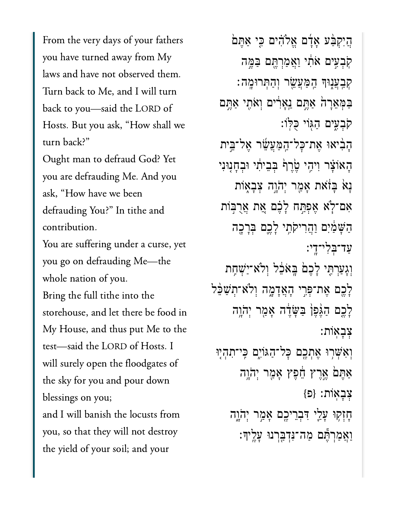From the very days of your fathers you have turned away from My laws and have not observed them. Turn back to Me, and I will turn  $\frac{1}{1}$   $\frac{1}{1}$   $\frac{1}{1}$   $\frac{1}{2}$   $\frac{1}{2}$   $\frac{1}{2}$ Hosts. But you ask, "How shall we turn back?"

Ought man to defraud God? Yet you are defrauding Me. And you ask, "How have we been defrauding You?" In tithe and contribution.

You are suffering under a curse, yet you go on defrauding Me-the whole nation of you.

Bring the full tithe into the storehouse, and let there be food in My House, and thus put Me to the test-said the LORD of Hosts. I  $t_1$  for  $t_2$  for  $t_3$  for  $t_4$  and  $t_5$  for  $t_6$  and  $t_7$  for  $t_8$  and  $t_7$  for  $t_8$  and  $t_8$  for  $t_9$  and  $t_9$  for  $t_1$  and  $t_1$  and  $t_2$  for  $t_3$  for  $t_1$  and  $t_2$  for  $t_3$  for  $t_1$  and  $t_2$  for  $\begin{array}{ccc} \n\cdot & \cdot & \cdot & \cdot \\
\downarrow & \downarrow & \cdot & \cdot\n\end{array}$ and  $\frac{1}{2}$  will be locusted to the locusts from  $\frac{1}{2}$ and I will banish the locusts from you, so that they will not destroy the yield of your soil; and your

ָהַיִּקְבָּ֫ע אָדָۢם אֱלֹהִ֫ים כִּי אַתֵּם ֹקְבִעִּים אֹתְ*וֹ ו*ַאֲמַרְהֶם בַּמֱה ַקְּבְעֲנָוּךְ הַמַּעֲשֶׂר וְהַתְּרוּמֶה: ַּבְּמָאֵרָה ַאֲתֵם נֵאֲרִים וְאֹתֵי אַתֵּם ֹקְבִ֑עים ַהּ֖גֹוי ֻּכּֽלֹו׃ ָהִ֨ביאּו ֶאת־ׇּכל־ַֽהַּמֲעֵׂ֜שר ֶאל־ֵּ֣בית ְהָאוֹצָר וְיִהֶי שֶׂרֵף בְּבֵיתִי וּבְחַנְוּנִי ָנַא בַּזֹאת אָמֵר יְהֹוֵה צְבָאִוֹת אָם־לְא אֶפְתַּח לָבֶם אֱת אֲרָבִּוֹת הַשָּׁמַ֫יִּם וַהֲרִיקֹתֵי לָכֵם בְּרַכֵּה ַעד־ְּבִלי־ָֽדי׃ וְגָעַרְתִּי לָכֶם בָּאֹבֶל וְלֹא־יַשָׁחֶת ַלָּבֶם אֶת־פִּרֶי הָאֲדָמֶה וְלֹא־תִשַּׁבָּל ַלְכֶם הַגֶּפֶן בַּשֶּׂדֶ֫ה אָמַר יְהֹוֵה ְצָבֽאֹות׃ וְאִשְׁרִוּ אֶתְכֶם כָּל־הַגּוֹיָם כֵּי־תִהְיִוּ  $\alpha$ אֶתֵּם אֱרֵץ הֶ֫פֶּץ אֲמֵר יְהֹוֵה ְצָבֽאֹות׃ }פ{ ּחָזְקִוּ עָלֵי יִּבְרֵיכֵם אָמֵר יְהֹוָה ַוֲאַמְרֶּ֕תם ַמה־ִּנְדַּ֖בְרנּו ָעֶֽליָך׃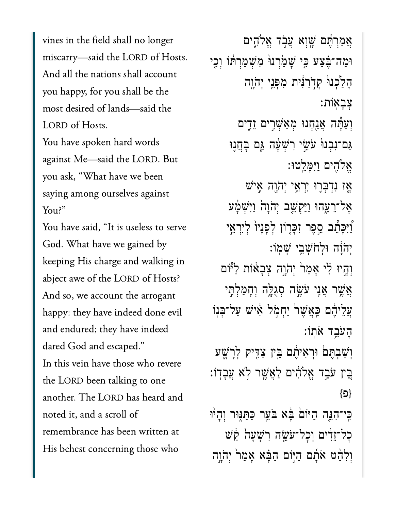vines in the field shall no longer miscarry—said the LORD of Hosts. And all the nations shall account you happy, for you shall be the most desired of lands-said the LORD of Hosts. You have spoken hard words against Me-said the LORD. But you ask, "What have we been saying among ourselves against You have said, "It is useless to serve

You have said, "It is useless to serve God. What have we gained by keeping His charge and walking in abject awe of the LORD of Hosts? And so, we account the arrogant and the independent of  $\overline{a}$ and endured; they have indeed dared God and escaped." In this vein have those who revere the LORD been talking to one another. The LORD has heard and  $r = 1$  at  $r = 11$   $\epsilon$ remembrance has been written at His behest concerning those who

ֲאַמְרֶּ֕תם ָׁ֖שְוא ֲעֹ֣בד ֱאֹלִ֑הים וּמַה־בֶּׁצַע כִּי שָׁמַׂרְנוּׂ מְשָׁמַרְתּׁוֹ וְכִי הַלָּכְנוּ קִדְרַבְּ֫ית מִפְּנֵי יְהֹוֵה ְצָבֽאֹות׃ וְעַ*ּׂהָה* אֲנִחְנוּ מְאַשְׁרִים זֵדְים ַּגַם־נִבְנוּּ עֹּשֵׂי רִשְׁעָּה גַּם בָּחֲנֵוּ אֵלֹהֵים וַיִּמַ*ּלֵ*טוּ: ֿאָז נִדְבְּרֵוּ יִרְאֵי יְהֹוֶה אֵישׁ אֶל־רֵעֱהוּ וַיַּקְ**שֵׁב יְהֹוָה** וַיִּשְׁמָּע ַ֠וִּיָּכֵ֠תב ֵ֣סֶפר ִזָּכ֤רֹון ְלָפָני֙ו ְלִיְרֵ֣אי ְיֹהָ֔וה ּוְלֹחְׁשֵ֖בי ְׁשֽמֹו׃ וְהָיוּ לְי אָמַר<sup>י</sup> יְהֹוֶה צְבָאוֹת לַ<sup>ְ</sup>ּّוֹם ָאֲשֶׁר אֲנִי עֹּשֶׂה סְגָלָּה וְחָמַלְתֵּי ְעֲלֵיהֶם כַּאֲשֶׁר<sup>י</sup> יַחְמְל אִישׁ עַל־בִּנְוֹ ָהֹעֵ֥בד ֹאֽתֹו׃ וְשָׁבְתֵּםׂ וּרְאִיהֵם בֵּין צַדִּיק לְרָשָׁע ָּבִּין עֹבֵד אֱלֹהִים לַאֲשֶׁר לְא עֲבָדִו: }פ{ ַּכְּי־הָגֶּה הַיּּׂוֹם בְּׂא בֹּעֵר כַּתַּגְּוּר וְהָיוּ ּכַל־זֵדִּ֫ים וְכָל־עֹּשֵׂה רִשְׁעָה <u>ק</u>ֹשׁ וִלְהָט אֹתָם הַיִּּוֹם הַבָּ֫א אָמַר יְהֹוֵה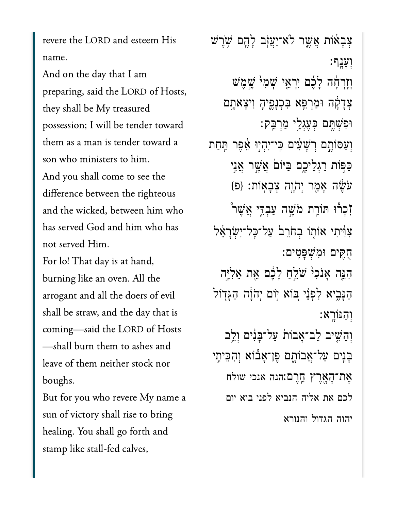revere the LORD and esteem His name.

And on the day that I am preparing, said the LORD of Hosts, they shall be My treasured possession; I will be tender toward them as a man is tender toward a son who ministers to him. And you shall come to see the difference between the righteous and the wicked, between him who has served God and him who has not served Him.

For lo! That day is at hand, burning like an oven. All the arrogant and all the doers of evil shall be straw, and the day that is coming-said the LORD of Hosts -shall burn them to ashes and leave of them neither stock nor boughs.

But for you who revere My name a sun of victory shall rise to bring healing. You shall go forth and stamp like stall-fed calves,

צִבָאֹוֹת אֲשֱר לֹא־יַעֲזָב לָהֱם שְׂרֵשׁ :יַעֲנַף וְזַרְהָה לַבֶּם יְרְאֱי שָׁמְיֹ שֱמֵשׁ צִדָקָה וּמַרְפֵּא בִּכְנָפֵיהָ וִיצָאתֵם וּפִשָּׁחֵם כִּעֲגָלֵי מַרִבֵּק: וְעַסּוֹתֶם רְשָׁעָׁים כִּי־יִהְיִוּ אֵצֶר תַּחַת כַּפּוֹת רַגְלֵיכֶם בַּיּוֹםׂ אֲשֶׁר אֲנֵי עֹשֶׂה אָמֶר יְהֹוֶה צִבָאוֹת: {פּ} זָכְרוּ תּוֹרֵת מֹשֵׁה עַבְדֵי אֲשֶׁר <u>゚</u> צְוָּ֫יִתִי אוֹתָוֹ בְחֹרֵבׂ עַל־כָּל־יְשָׂרָאֵל ּהָקֵים וּמִשִׁפַּטֵים: הִגֶּה אָנֹכִי שֹׁלֵחַ לָבֶם אֵת אֵלְיֶה הַנַּבִיא לִפְנֵי בּוֹא יִוֹם יְהֹוֵה הַגַּדְוֹל וְהַנּוֹרֵא: וְהֵשִׁיב לֵב־אַבוֹת עַל־בַּנִּים וְלֵב בָּנִים עַל־אֲבוֹתֶם פֵּן־אָבוֹא וִהִכֵּיתְי אֶת־הָאֲרֶץ חֱרֶם:הנה אנכי שולח לכם את אליה הנביא לפני בוא יום יהוה הגדול והנורא